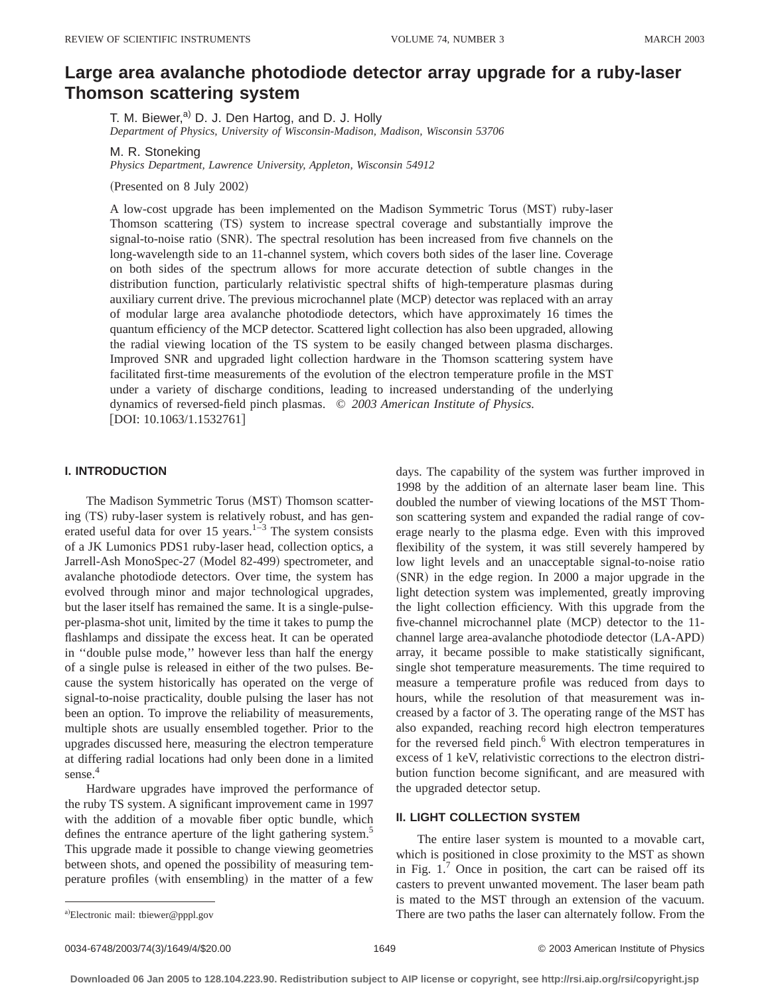# **Large area avalanche photodiode detector array upgrade for a ruby-laser Thomson scattering system**

T. M. Biewer, $a$ <sup>)</sup> D. J. Den Hartog, and D. J. Holly *Department of Physics, University of Wisconsin-Madison, Madison, Wisconsin 53706*

M. R. Stoneking

*Physics Department, Lawrence University, Appleton, Wisconsin 54912*

(Presented on 8 July 2002)

A low-cost upgrade has been implemented on the Madison Symmetric Torus (MST) ruby-laser Thomson scattering (TS) system to increase spectral coverage and substantially improve the signal-to-noise ratio (SNR). The spectral resolution has been increased from five channels on the long-wavelength side to an 11-channel system, which covers both sides of the laser line. Coverage on both sides of the spectrum allows for more accurate detection of subtle changes in the distribution function, particularly relativistic spectral shifts of high-temperature plasmas during auxiliary current drive. The previous microchannel plate (MCP) detector was replaced with an array of modular large area avalanche photodiode detectors, which have approximately 16 times the quantum efficiency of the MCP detector. Scattered light collection has also been upgraded, allowing the radial viewing location of the TS system to be easily changed between plasma discharges. Improved SNR and upgraded light collection hardware in the Thomson scattering system have facilitated first-time measurements of the evolution of the electron temperature profile in the MST under a variety of discharge conditions, leading to increased understanding of the underlying dynamics of reversed-field pinch plasmas. © *2003 American Institute of Physics.*  $[$ DOI: 10.1063/1.1532761 $]$ 

## **I. INTRODUCTION**

The Madison Symmetric Torus (MST) Thomson scattering (TS) ruby-laser system is relatively robust, and has generated useful data for over 15 years.<sup>1–3</sup> The system consists of a JK Lumonics PDS1 ruby-laser head, collection optics, a Jarrell-Ash MonoSpec-27 (Model 82-499) spectrometer, and avalanche photodiode detectors. Over time, the system has evolved through minor and major technological upgrades, but the laser itself has remained the same. It is a single-pulseper-plasma-shot unit, limited by the time it takes to pump the flashlamps and dissipate the excess heat. It can be operated in ''double pulse mode,'' however less than half the energy of a single pulse is released in either of the two pulses. Because the system historically has operated on the verge of signal-to-noise practicality, double pulsing the laser has not been an option. To improve the reliability of measurements, multiple shots are usually ensembled together. Prior to the upgrades discussed here, measuring the electron temperature at differing radial locations had only been done in a limited sense.<sup>4</sup>

Hardware upgrades have improved the performance of the ruby TS system. A significant improvement came in 1997 with the addition of a movable fiber optic bundle, which defines the entrance aperture of the light gathering system.<sup>5</sup> This upgrade made it possible to change viewing geometries between shots, and opened the possibility of measuring temperature profiles (with ensembling) in the matter of a few

days. The capability of the system was further improved in 1998 by the addition of an alternate laser beam line. This doubled the number of viewing locations of the MST Thomson scattering system and expanded the radial range of coverage nearly to the plasma edge. Even with this improved flexibility of the system, it was still severely hampered by low light levels and an unacceptable signal-to-noise ratio  $(SNR)$  in the edge region. In 2000 a major upgrade in the light detection system was implemented, greatly improving the light collection efficiency. With this upgrade from the five-channel microchannel plate  $(MCP)$  detector to the 11channel large area-avalanche photodiode detector (LA-APD) array, it became possible to make statistically significant, single shot temperature measurements. The time required to measure a temperature profile was reduced from days to hours, while the resolution of that measurement was increased by a factor of 3. The operating range of the MST has also expanded, reaching record high electron temperatures for the reversed field pinch.<sup>6</sup> With electron temperatures in excess of 1 keV, relativistic corrections to the electron distribution function become significant, and are measured with the upgraded detector setup.

## **II. LIGHT COLLECTION SYSTEM**

The entire laser system is mounted to a movable cart, which is positioned in close proximity to the MST as shown in Fig.  $1<sup>7</sup>$  Once in position, the cart can be raised off its casters to prevent unwanted movement. The laser beam path is mated to the MST through an extension of the vacuum. There are two paths the laser can alternately follow. From the

0034-6748/2003/74(3)/1649/4/\$20.00 1649 1649 1649 C 2003 American Institute of Physics

a)Electronic mail: tbiewer@pppl.gov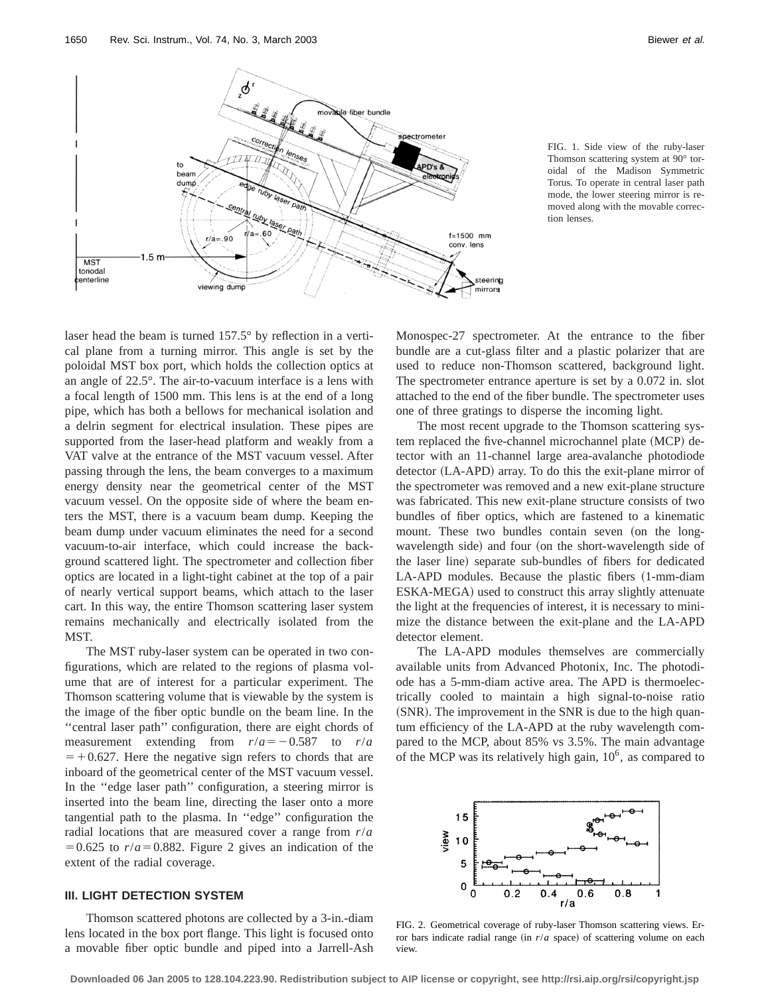

FIG. 1. Side view of the ruby-laser Thomson scattering system at 90° toroidal of the Madison Symmetric Torus. To operate in central laser path mode, the lower steering mirror is removed along with the movable correction lenses.

laser head the beam is turned 157.5° by reflection in a vertical plane from a turning mirror. This angle is set by the poloidal MST box port, which holds the collection optics at an angle of 22.5°. The air-to-vacuum interface is a lens with a focal length of 1500 mm. This lens is at the end of a long pipe, which has both a bellows for mechanical isolation and a delrin segment for electrical insulation. These pipes are supported from the laser-head platform and weakly from a VAT valve at the entrance of the MST vacuum vessel. After passing through the lens, the beam converges to a maximum energy density near the geometrical center of the MST vacuum vessel. On the opposite side of where the beam enters the MST, there is a vacuum beam dump. Keeping the beam dump under vacuum eliminates the need for a second vacuum-to-air interface, which could increase the background scattered light. The spectrometer and collection fiber optics are located in a light-tight cabinet at the top of a pair of nearly vertical support beams, which attach to the laser cart. In this way, the entire Thomson scattering laser system remains mechanically and electrically isolated from the MST.

The MST ruby-laser system can be operated in two configurations, which are related to the regions of plasma volume that are of interest for a particular experiment. The Thomson scattering volume that is viewable by the system is the image of the fiber optic bundle on the beam line. In the ''central laser path'' configuration, there are eight chords of measurement extending from  $r/a = -0.587$  to  $r/a$  $=$  +0.627. Here the negative sign refers to chords that are inboard of the geometrical center of the MST vacuum vessel. In the ''edge laser path'' configuration, a steering mirror is inserted into the beam line, directing the laser onto a more tangential path to the plasma. In ''edge'' configuration the radial locations that are measured cover a range from *r*/*a*  $=0.625$  to  $r/a = 0.882$ . Figure 2 gives an indication of the extent of the radial coverage.

#### **III. LIGHT DETECTION SYSTEM**

Thomson scattered photons are collected by a 3-in.-diam lens located in the box port flange. This light is focused onto a movable fiber optic bundle and piped into a Jarrell-Ash Monospec-27 spectrometer. At the entrance to the fiber bundle are a cut-glass filter and a plastic polarizer that are used to reduce non-Thomson scattered, background light. The spectrometer entrance aperture is set by a 0.072 in. slot attached to the end of the fiber bundle. The spectrometer uses one of three gratings to disperse the incoming light.

The most recent upgrade to the Thomson scattering system replaced the five-channel microchannel plate (MCP) detector with an 11-channel large area-avalanche photodiode detector (LA-APD) array. To do this the exit-plane mirror of the spectrometer was removed and a new exit-plane structure was fabricated. This new exit-plane structure consists of two bundles of fiber optics, which are fastened to a kinematic mount. These two bundles contain seven (on the longwavelength side) and four (on the short-wavelength side of the laser line) separate sub-bundles of fibers for dedicated LA-APD modules. Because the plastic fibers  $(1-mm-diam)$ ESKA-MEGA) used to construct this array slightly attenuate the light at the frequencies of interest, it is necessary to minimize the distance between the exit-plane and the LA-APD detector element.

The LA-APD modules themselves are commercially available units from Advanced Photonix, Inc. The photodiode has a 5-mm-diam active area. The APD is thermoelectrically cooled to maintain a high signal-to-noise ratio  $(SNR)$ . The improvement in the SNR is due to the high quantum efficiency of the LA-APD at the ruby wavelength compared to the MCP, about 85% vs 3.5%. The main advantage of the MCP was its relatively high gain,  $10<sup>6</sup>$ , as compared to



FIG. 2. Geometrical coverage of ruby-laser Thomson scattering views. Error bars indicate radial range (in  $r/a$  space) of scattering volume on each view.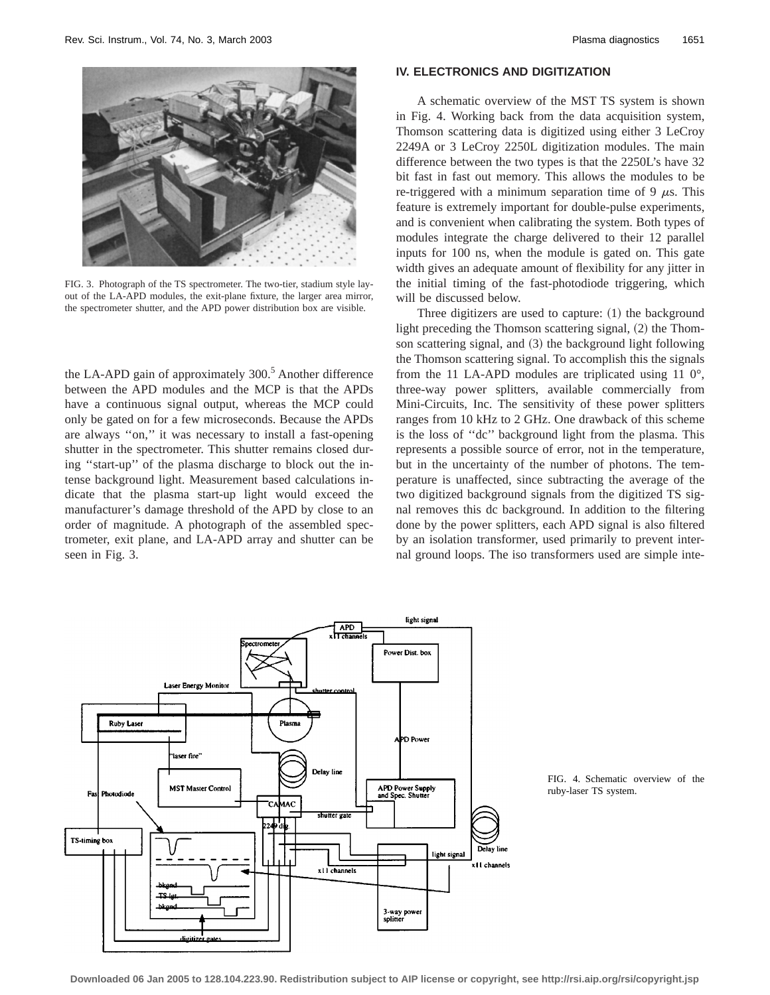

FIG. 3. Photograph of the TS spectrometer. The two-tier, stadium style layout of the LA-APD modules, the exit-plane fixture, the larger area mirror, the spectrometer shutter, and the APD power distribution box are visible.

the LA-APD gain of approximately  $300<sup>5</sup>$  Another difference between the APD modules and the MCP is that the APDs have a continuous signal output, whereas the MCP could only be gated on for a few microseconds. Because the APDs are always ''on,'' it was necessary to install a fast-opening shutter in the spectrometer. This shutter remains closed during ''start-up'' of the plasma discharge to block out the intense background light. Measurement based calculations indicate that the plasma start-up light would exceed the manufacturer's damage threshold of the APD by close to an order of magnitude. A photograph of the assembled spectrometer, exit plane, and LA-APD array and shutter can be seen in Fig. 3.

# **IV. ELECTRONICS AND DIGITIZATION**

A schematic overview of the MST TS system is shown in Fig. 4. Working back from the data acquisition system, Thomson scattering data is digitized using either 3 LeCroy 2249A or 3 LeCroy 2250L digitization modules. The main difference between the two types is that the 2250L's have 32 bit fast in fast out memory. This allows the modules to be re-triggered with a minimum separation time of 9  $\mu$ s. This feature is extremely important for double-pulse experiments, and is convenient when calibrating the system. Both types of modules integrate the charge delivered to their 12 parallel inputs for 100 ns, when the module is gated on. This gate width gives an adequate amount of flexibility for any jitter in the initial timing of the fast-photodiode triggering, which will be discussed below.

Three digitizers are used to capture:  $(1)$  the background light preceding the Thomson scattering signal,  $(2)$  the Thomson scattering signal, and  $(3)$  the background light following the Thomson scattering signal. To accomplish this the signals from the 11 LA-APD modules are triplicated using 11 0°, three-way power splitters, available commercially from Mini-Circuits, Inc. The sensitivity of these power splitters ranges from 10 kHz to 2 GHz. One drawback of this scheme is the loss of ''dc'' background light from the plasma. This represents a possible source of error, not in the temperature, but in the uncertainty of the number of photons. The temperature is unaffected, since subtracting the average of the two digitized background signals from the digitized TS signal removes this dc background. In addition to the filtering done by the power splitters, each APD signal is also filtered by an isolation transformer, used primarily to prevent internal ground loops. The iso transformers used are simple inte-



FIG. 4. Schematic overview of the ruby-laser TS system.